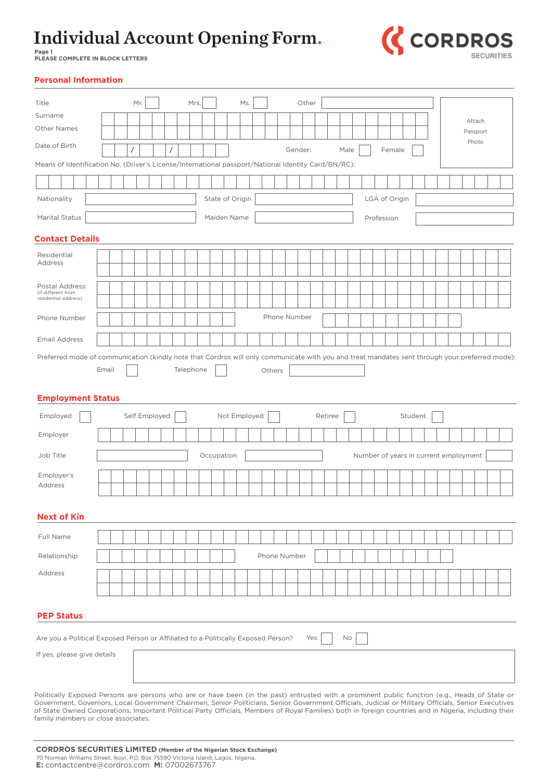**Page 1 PLEASE COMPLETE IN BLOCK LETTERS**



**Personal Information**

| Title                                                                                                                                                                                                                                                                                                                                                                                                                                                            |  |       |  |               | Mr. |  | Mrs.      |  |                 | Ms. |  |        |              | Other |     |         |      |    |               |        |         |  |                                       |          |  |
|------------------------------------------------------------------------------------------------------------------------------------------------------------------------------------------------------------------------------------------------------------------------------------------------------------------------------------------------------------------------------------------------------------------------------------------------------------------|--|-------|--|---------------|-----|--|-----------|--|-----------------|-----|--|--------|--------------|-------|-----|---------|------|----|---------------|--------|---------|--|---------------------------------------|----------|--|
| Surname                                                                                                                                                                                                                                                                                                                                                                                                                                                          |  |       |  |               |     |  |           |  |                 |     |  |        |              |       |     |         |      |    |               |        |         |  |                                       | Attach   |  |
| <b>Other Names</b>                                                                                                                                                                                                                                                                                                                                                                                                                                               |  |       |  |               |     |  |           |  |                 |     |  |        |              |       |     |         |      |    |               |        |         |  |                                       | Passport |  |
| Date of Birth                                                                                                                                                                                                                                                                                                                                                                                                                                                    |  |       |  |               |     |  |           |  |                 |     |  |        | Gender:      |       |     |         | Male |    |               | Female |         |  |                                       | Photo    |  |
| Means of Identification No. (Driver's License/International passport/National Identity Card/BN/RC):                                                                                                                                                                                                                                                                                                                                                              |  |       |  |               |     |  |           |  |                 |     |  |        |              |       |     |         |      |    |               |        |         |  |                                       |          |  |
|                                                                                                                                                                                                                                                                                                                                                                                                                                                                  |  |       |  |               |     |  |           |  |                 |     |  |        |              |       |     |         |      |    |               |        |         |  |                                       |          |  |
| Nationality                                                                                                                                                                                                                                                                                                                                                                                                                                                      |  |       |  |               |     |  |           |  | State of Origin |     |  |        |              |       |     |         |      |    | LGA of Origin |        |         |  |                                       |          |  |
| <b>Marital Status</b>                                                                                                                                                                                                                                                                                                                                                                                                                                            |  |       |  |               |     |  |           |  | Maiden Name     |     |  |        |              |       |     |         |      |    | Profession    |        |         |  |                                       |          |  |
| <b>Contact Details</b>                                                                                                                                                                                                                                                                                                                                                                                                                                           |  |       |  |               |     |  |           |  |                 |     |  |        |              |       |     |         |      |    |               |        |         |  |                                       |          |  |
| Residential                                                                                                                                                                                                                                                                                                                                                                                                                                                      |  |       |  |               |     |  |           |  |                 |     |  |        |              |       |     |         |      |    |               |        |         |  |                                       |          |  |
| Address                                                                                                                                                                                                                                                                                                                                                                                                                                                          |  |       |  |               |     |  |           |  |                 |     |  |        |              |       |     |         |      |    |               |        |         |  |                                       |          |  |
| Postal Address:<br>(if different from                                                                                                                                                                                                                                                                                                                                                                                                                            |  |       |  |               |     |  |           |  |                 |     |  |        |              |       |     |         |      |    |               |        |         |  |                                       |          |  |
| residential address)                                                                                                                                                                                                                                                                                                                                                                                                                                             |  |       |  |               |     |  |           |  |                 |     |  |        |              |       |     |         |      |    |               |        |         |  |                                       |          |  |
| Phone Number                                                                                                                                                                                                                                                                                                                                                                                                                                                     |  |       |  |               |     |  |           |  |                 |     |  |        | Phone Number |       |     |         |      |    |               |        |         |  |                                       |          |  |
| <b>Email Address</b>                                                                                                                                                                                                                                                                                                                                                                                                                                             |  |       |  |               |     |  |           |  |                 |     |  |        |              |       |     |         |      |    |               |        |         |  |                                       |          |  |
| Preferred mode of communication (kindly note that Cordros will only communicate with you and treat mandates sent through your preferred mode):<br><b>Employment Status</b>                                                                                                                                                                                                                                                                                       |  | Email |  |               |     |  | Telephone |  |                 |     |  | Others |              |       |     |         |      |    |               |        |         |  |                                       |          |  |
| Employed                                                                                                                                                                                                                                                                                                                                                                                                                                                         |  |       |  | Self Employed |     |  |           |  | Not Employed    |     |  |        |              |       |     | Retiree |      |    |               |        | Student |  |                                       |          |  |
| Employer                                                                                                                                                                                                                                                                                                                                                                                                                                                         |  |       |  |               |     |  |           |  |                 |     |  |        |              |       |     |         |      |    |               |        |         |  |                                       |          |  |
| Job Title                                                                                                                                                                                                                                                                                                                                                                                                                                                        |  |       |  |               |     |  |           |  | Occupation      |     |  |        |              |       |     |         |      |    |               |        |         |  | Number of years in current employment |          |  |
| Employer's                                                                                                                                                                                                                                                                                                                                                                                                                                                       |  |       |  |               |     |  |           |  |                 |     |  |        |              |       |     |         |      |    |               |        |         |  |                                       |          |  |
| Address                                                                                                                                                                                                                                                                                                                                                                                                                                                          |  |       |  |               |     |  |           |  |                 |     |  |        |              |       |     |         |      |    |               |        |         |  |                                       |          |  |
| <b>Next of Kin</b>                                                                                                                                                                                                                                                                                                                                                                                                                                               |  |       |  |               |     |  |           |  |                 |     |  |        |              |       |     |         |      |    |               |        |         |  |                                       |          |  |
| Full Name                                                                                                                                                                                                                                                                                                                                                                                                                                                        |  |       |  |               |     |  |           |  |                 |     |  |        |              |       |     |         |      |    |               |        |         |  |                                       |          |  |
|                                                                                                                                                                                                                                                                                                                                                                                                                                                                  |  |       |  |               |     |  |           |  |                 |     |  |        |              |       |     |         |      |    |               |        |         |  |                                       |          |  |
| Relationship                                                                                                                                                                                                                                                                                                                                                                                                                                                     |  |       |  |               |     |  |           |  |                 |     |  |        | Phone Number |       |     |         |      |    |               |        |         |  |                                       |          |  |
| Address                                                                                                                                                                                                                                                                                                                                                                                                                                                          |  |       |  |               |     |  |           |  |                 |     |  |        |              |       |     |         |      |    |               |        |         |  |                                       |          |  |
|                                                                                                                                                                                                                                                                                                                                                                                                                                                                  |  |       |  |               |     |  |           |  |                 |     |  |        |              |       |     |         |      |    |               |        |         |  |                                       |          |  |
| <b>PEP Status</b>                                                                                                                                                                                                                                                                                                                                                                                                                                                |  |       |  |               |     |  |           |  |                 |     |  |        |              |       |     |         |      |    |               |        |         |  |                                       |          |  |
| Are you a Political Exposed Person or Affiliated to a Politically Exposed Person?                                                                                                                                                                                                                                                                                                                                                                                |  |       |  |               |     |  |           |  |                 |     |  |        |              |       | Yes |         |      | No |               |        |         |  |                                       |          |  |
| If yes, please give details                                                                                                                                                                                                                                                                                                                                                                                                                                      |  |       |  |               |     |  |           |  |                 |     |  |        |              |       |     |         |      |    |               |        |         |  |                                       |          |  |
|                                                                                                                                                                                                                                                                                                                                                                                                                                                                  |  |       |  |               |     |  |           |  |                 |     |  |        |              |       |     |         |      |    |               |        |         |  |                                       |          |  |
|                                                                                                                                                                                                                                                                                                                                                                                                                                                                  |  |       |  |               |     |  |           |  |                 |     |  |        |              |       |     |         |      |    |               |        |         |  |                                       |          |  |
| Politically Exposed Persons are persons who are or have been (in the past) entrusted with a prominent public function (e.g., Heads of State or<br>Government, Governors, Local Government Chairmen, Senior Politicians, Senior Government Officials, Judicial or Military Officials, Senior Executives<br>of State Owned Corporations, Important Political Party Officials, Members of Royal Families) both in foreign countries and in Nigeria, including their |  |       |  |               |     |  |           |  |                 |     |  |        |              |       |     |         |      |    |               |        |         |  |                                       |          |  |

family members or close associates.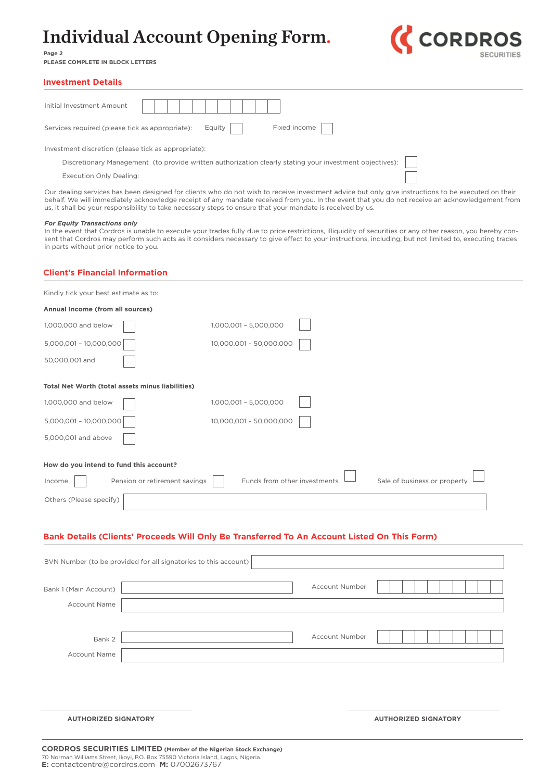

**Page 2 PLEASE COMPLETE IN BLOCK LETTERS**

#### **Investment Details**

| Initial Investment Amount                                                                               |  |  |  |  |  |  |  |  |
|---------------------------------------------------------------------------------------------------------|--|--|--|--|--|--|--|--|
| Fixed income<br>Equity<br>Services required (please tick as appropriate):                               |  |  |  |  |  |  |  |  |
| Investment discretion (please tick as appropriate):                                                     |  |  |  |  |  |  |  |  |
| Discretionary Management (to provide written authorization clearly stating your investment objectives): |  |  |  |  |  |  |  |  |
| <b>Execution Only Dealing:</b>                                                                          |  |  |  |  |  |  |  |  |
|                                                                                                         |  |  |  |  |  |  |  |  |

Our dealing services has been designed for clients who do not wish to receive investment advice but only give instructions to be executed on their behalf. We will immediately acknowledge receipt of any mandate received from you. In the event that you do not receive an acknowledgement from us, it shall be your responsibility to take necessary steps to ensure that your mandate is received by us.

#### *For Equity Transactions only*

In the event that Cordros is unable to execute your trades fully due to price restrictions, illiquidity of securities or any other reason, you hereby consent that Cordros may perform such acts as it considers necessary to give effect to your instructions, including, but not limited to, executing trades in parts without prior notice to you.

#### **Client's Financial Information**

| Kindly tick your best estimate as to:                                                       |                               |                              |  |                              |  |  |  |  |  |
|---------------------------------------------------------------------------------------------|-------------------------------|------------------------------|--|------------------------------|--|--|--|--|--|
| Annual Income (from all sources)                                                            |                               |                              |  |                              |  |  |  |  |  |
| 1,000,000 and below                                                                         |                               | 1,000,001 - 5,000,000        |  |                              |  |  |  |  |  |
| 5,000,001 - 10,000,000                                                                      |                               | 10,000,001 - 50,000,000      |  |                              |  |  |  |  |  |
| 50,000,001 and                                                                              |                               |                              |  |                              |  |  |  |  |  |
| Total Net Worth (total assets minus liabilities)                                            |                               |                              |  |                              |  |  |  |  |  |
| 1,000,000 and below                                                                         |                               | 1,000,001 - 5,000,000        |  |                              |  |  |  |  |  |
| 5,000,001 - 10,000,000                                                                      |                               | 10,000,001 - 50,000,000      |  |                              |  |  |  |  |  |
| 5,000,001 and above                                                                         |                               |                              |  |                              |  |  |  |  |  |
| How do you intend to fund this account?                                                     |                               |                              |  |                              |  |  |  |  |  |
| Income                                                                                      | Pension or retirement savings | Funds from other investments |  | Sale of business or property |  |  |  |  |  |
| Others (Please specify)                                                                     |                               |                              |  |                              |  |  |  |  |  |
|                                                                                             |                               |                              |  |                              |  |  |  |  |  |
| Danis Dataile (Cliente) Duasaade Will Only De Tuansfound Ta An Assaynt Listed On This Fount |                               |                              |  |                              |  |  |  |  |  |

#### **Bank Details (Clients' Proceeds Will Only Be Transferred To An Account Listed On This Form)**

| BVN Number (to be provided for all signatories to this account) |  |                       |                             |
|-----------------------------------------------------------------|--|-----------------------|-----------------------------|
| Bank 1 (Main Account)<br><b>Account Name</b>                    |  | <b>Account Number</b> |                             |
| Bank 2<br>Account Name                                          |  | Account Number        |                             |
|                                                                 |  |                       |                             |
| <b>AUTHORIZED SIGNATORY</b>                                     |  |                       | <b>AUTHORIZED SIGNATORY</b> |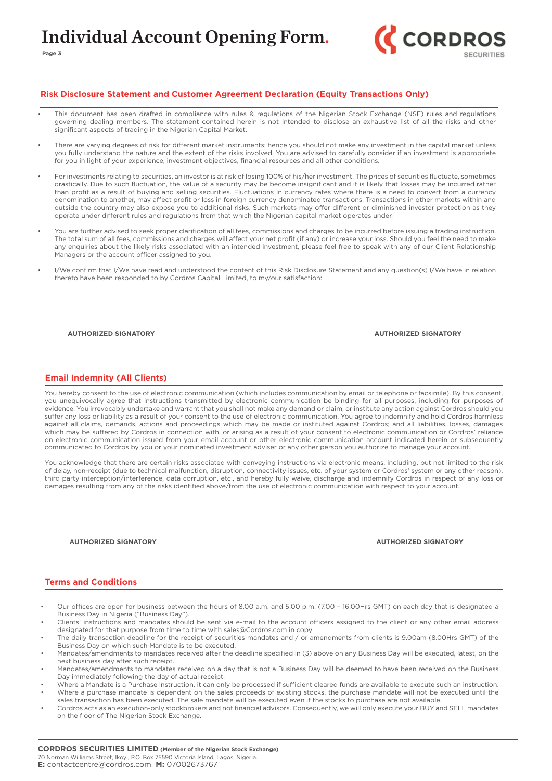

#### **Risk Disclosure Statement and Customer Agreement Declaration (Equity Transactions Only)**

- This document has been drafted in compliance with rules & regulations of the Nigerian Stock Exchange (NSE) rules and regulations governing dealing members. The statement contained herein is not intended to disclose an exhaustive list of all the risks and other significant aspects of trading in the Nigerian Capital Market.
- There are varying degrees of risk for different market instruments; hence you should not make any investment in the capital market unless you fully understand the nature and the extent of the risks involved. You are advised to carefully consider if an investment is appropriate for you in light of your experience, investment objectives, financial resources and all other conditions.
- For investments relating to securities, an investor is at risk of losing 100% of his/her investment. The prices of securities fluctuate, sometimes drastically. Due to such fluctuation, the value of a security may be become insignificant and it is likely that losses may be incurred rather than profit as a result of buying and selling securities. Fluctuations in currency rates where there is a need to convert from a currency denomination to another, may affect profit or loss in foreign currency denominated transactions. Transactions in other markets within and outside the country may also expose you to additional risks. Such markets may offer different or diminished investor protection as they operate under different rules and regulations from that which the Nigerian capital market operates under.
- You are further advised to seek proper clarification of all fees, commissions and charges to be incurred before issuing a trading instruction. The total sum of all fees, commissions and charges will affect your net profit (if any) or increase your loss. Should you feel the need to make any enquiries about the likely risks associated with an intended investment, please feel free to speak with any of our Client Relationship Managers or the account officer assigned to you.
- I/We confirm that I/We have read and understood the content of this Risk Disclosure Statement and any question(s) I/We have in relation thereto have been responded to by Cordros Capital Limited, to my/our satisfaction:

**AUTHORIZED SIGNATORY**

**AUTHORIZED SIGNATORY**

#### **Email Indemnity (All Clients)**

You hereby consent to the use of electronic communication (which includes communication by email or telephone or facsimile). By this consent, you unequivocally agree that instructions transmitted by electronic communication be binding for all purposes, including for purposes of evidence. You irrevocably undertake and warrant that you shall not make any demand or claim, or institute any action against Cordros should you suffer any loss or liability as a result of your consent to the use of electronic communication. You agree to indemnify and hold Cordros harmless against all claims, demands, actions and proceedings which may be made or instituted against Cordros; and all liabilities, losses, damages which may be suffered by Cordros in connection with, or arising as a result of your consent to electronic communication or Cordros' reliance on electronic communication issued from your email account or other electronic communication account indicated herein or subsequently communicated to Cordros by you or your nominated investment adviser or any other person you authorize to manage your account.

You acknowledge that there are certain risks associated with conveying instructions via electronic means, including, but not limited to the risk of delay, non-receipt (due to technical malfunction, disruption, connectivity issues, etc. of your system or Cordros' system or any other reason), third party interception/interference, data corruption, etc., and hereby fully waive, discharge and indemnify Cordros in respect of any loss or damages resulting from any of the risks identified above/from the use of electronic communication with respect to your account.

**AUTHORIZED SIGNATORY**

**AUTHORIZED SIGNATORY**

#### **Terms and Conditions**

- Our offices are open for business between the hours of 8.00 a.m. and 5.00 p.m. (7.00 16.00Hrs GMT) on each day that is designated a Business Day in Nigeria ("Business Day").
- Clients' instructions and mandates should be sent via e-mail to the account officers assigned to the client or any other email address designated for that purpose from time to time with sales@Cordros.com in copy
- The daily transaction deadline for the receipt of securities mandates and / or amendments from clients is 9.00am (8.00Hrs GMT) of the Business Day on which such Mandate is to be executed.
- Mandates/amendments to mandates received after the deadline specified in (3) above on any Business Day will be executed, latest, on the next business day after such receipt.
- Mandates/amendments to mandates received on a day that is not a Business Day will be deemed to have been received on the Business Day immediately following the day of actual receipt.
- Where a Mandate is a Purchase instruction, it can only be processed if sufficient cleared funds are available to execute such an instruction. • Where a purchase mandate is dependent on the sales proceeds of existing stocks, the purchase mandate will not be executed until the
- sales transaction has been executed. The sale mandate will be executed even if the stocks to purchase are not available.
- Cordros acts as an execution-only stockbrokers and not financial advisors. Consequently, we will only execute your BUY and SELL mandates on the floor of The Nigerian Stock Exchange.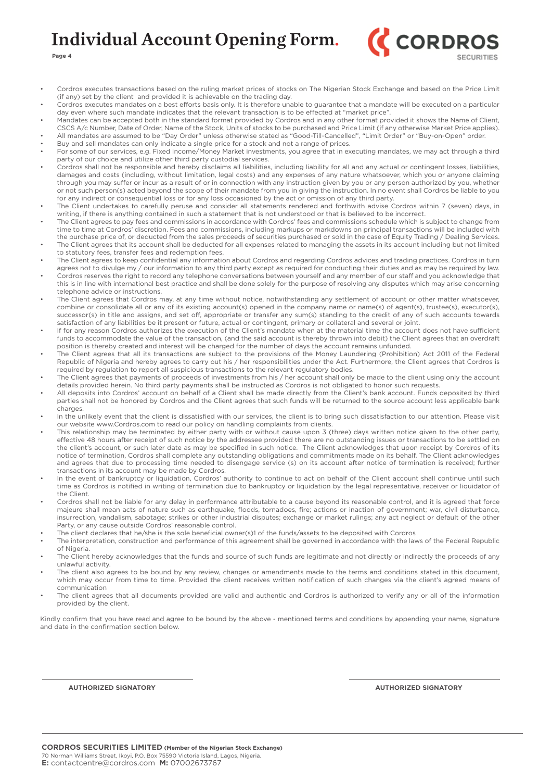

**Page 4**

- Cordros executes transactions based on the ruling market prices of stocks on The Nigerian Stock Exchange and based on the Price Limit (if any) set by the client and provided it is achievable on the trading day.
- Cordros executes mandates on a best efforts basis only. It is therefore unable to guarantee that a mandate will be executed on a particular day even where such mandate indicates that the relevant transaction is to be effected at "market price".
- Mandates can be accepted both in the standard format provided by Cordros and in any other format provided it shows the Name of Client, CSCS A/c Number, Date of Order, Name of the Stock, Units of stocks to be purchased and Price Limit (if any otherwise Market Price applies). • All mandates are assumed to be "Day Order" unless otherwise stated as "Good-Till-Cancelled", "Limit Order" or "Buy-on-Open" order.
- Buy and sell mandates can only indicate a single price for a stock and not a range of prices.
- For some of our services, e.g. Fixed Income/Money Market investments, you agree that in executing mandates, we may act through a third party of our choice and utilize other third party custodial services.
- Cordros shall not be responsible and hereby disclaims all liabilities, including liability for all and any actual or contingent losses, liabilities, damages and costs (including, without limitation, legal costs) and any expenses of any nature whatsoever, which you or anyone claiming through you may suffer or incur as a result of or in connection with any instruction given by you or any person authorized by you, whether or not such person(s) acted beyond the scope of their mandate from you in giving the instruction. In no event shall Cordros be liable to you for any indirect or consequential loss or for any loss occasioned by the act or omission of any third party.
- The Client undertakes to carefully peruse and consider all statements rendered and forthwith advise Cordros within 7 (seven) days, in writing, if there is anything contained in such a statement that is not understood or that is believed to be incorrect.
- The Client agrees to pay fees and commissions in accordance with Cordros' fees and commissions schedule which is subject to change from time to time at Cordros' discretion. Fees and commissions, including markups or markdowns on principal transactions will be included with the purchase price of, or deducted from the sales proceeds of securities purchased or sold in the case of Equity Trading / Dealing Services. • The Client agrees that its account shall be deducted for all expenses related to managing the assets in its account including but not limited
- to statutory fees, transfer fees and redemption fees. • The Client agrees to keep confidential any information about Cordros and regarding Cordros advices and trading practices. Cordros in turn
- agrees not to divulge my / our information to any third party except as required for conducting their duties and as may be required by law. • Cordros reserves the right to record any telephone conversations between yourself and any member of our staff and you acknowledge that this is in line with international best practice and shall be done solely for the purpose of resolving any disputes which may arise concerning telephone advice or instructions.
- The Client agrees that Cordros may, at any time without notice, notwithstanding any settlement of account or other matter whatsoever, combine or consolidate all or any of its existing account(s) opened in the company name or name(s) of agent(s), trustee(s), executor(s), successor(s) in title and assigns, and set off, appropriate or transfer any sum(s) standing to the credit of any of such accounts towards satisfaction of any liabilities be it present or future, actual or contingent, primary or collateral and several or joint.
- If for any reason Cordros authorizes the execution of the Client's mandate when at the material time the account does not have sufficient funds to accommodate the value of the transaction, (and the said account is thereby thrown into debit) the Client agrees that an overdraft position is thereby created and interest will be charged for the number of days the account remains unfunded.
- The Client agrees that all its transactions are subject to the provisions of the Money Laundering (Prohibition) Act 2011 of the Federal Republic of Nigeria and hereby agrees to carry out his / her responsibilities under the Act. Furthermore, the Client agrees that Cordros is required by regulation to report all suspicious transactions to the relevant regulatory bodies.
- The Client agrees that payments of proceeds of investments from his / her account shall only be made to the client using only the account details provided herein. No third party payments shall be instructed as Cordros is not obligated to honor such requests.
- All deposits into Cordros' account on behalf of a Client shall be made directly from the Client's bank account. Funds deposited by third parties shall not be honored by Cordros and the Client agrees that such funds will be returned to the source account less applicable bank charges.
- In the unlikely event that the client is dissatisfied with our services, the client is to bring such dissatisfaction to our attention. Please visit our website www.Cordros.com to read our policy on handling complaints from clients.
- This relationship may be terminated by either party with or without cause upon 3 (three) days written notice given to the other party, effective 48 hours after receipt of such notice by the addressee provided there are no outstanding issues or transactions to be settled on the client's account, or such later date as may be specified in such notice. The Client acknowledges that upon receipt by Cordros of its notice of termination, Cordros shall complete any outstanding obligations and commitments made on its behalf. The Client acknowledges and agrees that due to processing time needed to disengage service (s) on its account after notice of termination is received; further transactions in its account may be made by Cordros.
- In the event of bankruptcy or liquidation, Cordros' authority to continue to act on behalf of the Client account shall continue until such time as Cordros is notified in writing of termination due to bankruptcy or liquidation by the legal representative, receiver or liquidator of the Client.
- Cordros shall not be liable for any delay in performance attributable to a cause beyond its reasonable control, and it is agreed that force majeure shall mean acts of nature such as earthquake, floods, tornadoes, fire; actions or inaction of government; war, civil disturbance, insurrection, vandalism, sabotage; strikes or other industrial disputes; exchange or market rulings; any act neglect or default of the other Party, or any cause outside Cordros' reasonable control.
- The client declares that he/she is the sole beneficial owner(s)1 of the funds/assets to be deposited with Cordros
- The interpretation, construction and performance of this agreement shall be governed in accordance with the laws of the Federal Republic of Nigeria.
- The Client hereby acknowledges that the funds and source of such funds are legitimate and not directly or indirectly the proceeds of any unlawful activity.
- The client also agrees to be bound by any review, changes or amendments made to the terms and conditions stated in this document, which may occur from time to time. Provided the client receives written notification of such changes via the client's agreed means of communication
- The client agrees that all documents provided are valid and authentic and Cordros is authorized to verify any or all of the information provided by the client.

Kindly confirm that you have read and agree to be bound by the above - mentioned terms and conditions by appending your name, signature and date in the confirmation section below.

**AUTHORIZED SIGNATORY AUTHORIZED SIGNATORY**